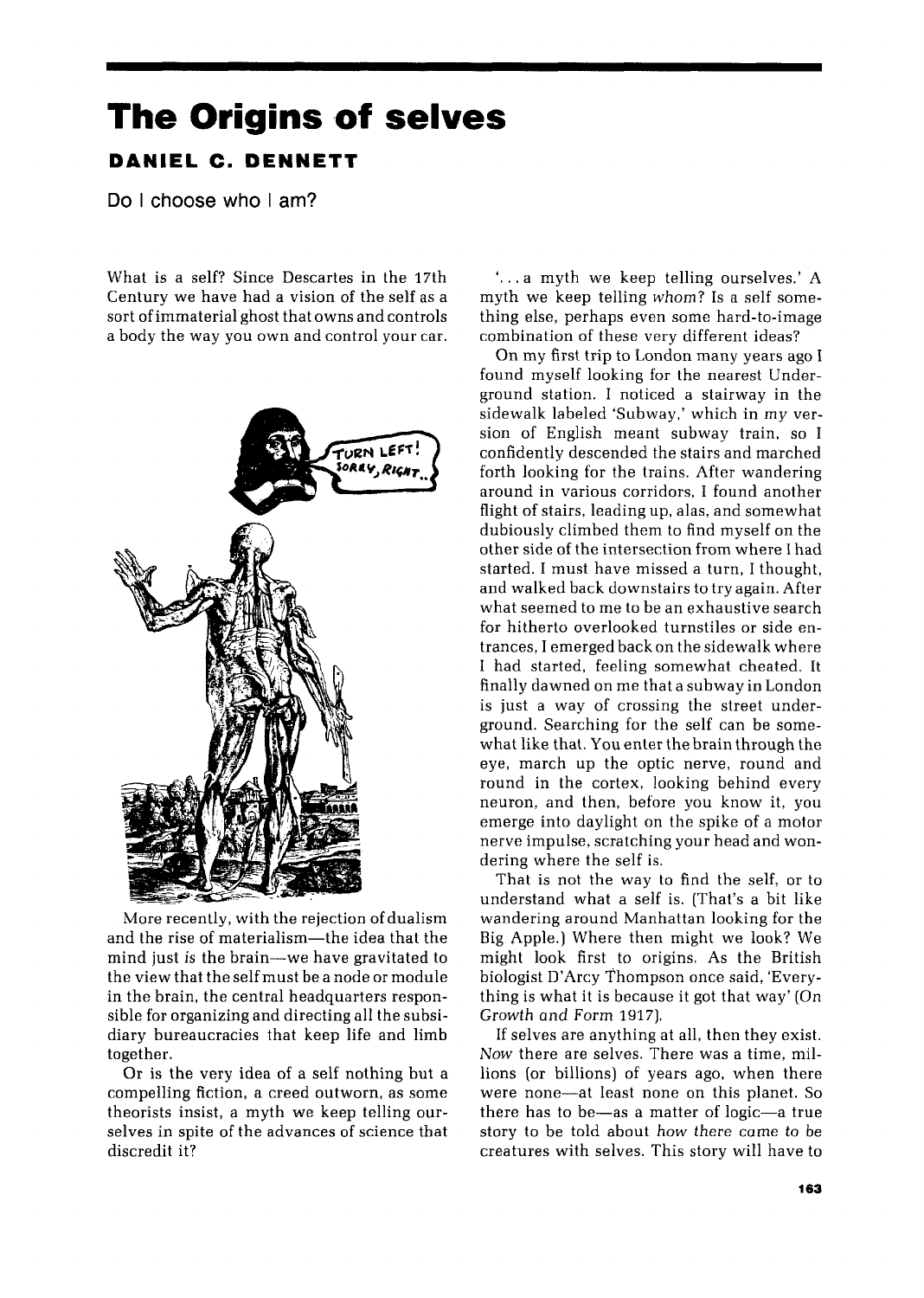# **The** Origins of **selves**

## **DANIEL c. DENNETT**

**Do I choose who I am?**

What is a self? Since Descartes in the 17th Century we have had a vision of the self as a sort of immaterial ghost that owns and controls a body the way you own and control your car.



More recently, with the rejection of dualism and the rise of materialism-the idea that the mind just is the brain—we have gravitated to the view that the selfmust be a node or module in the brain, the central headquarters responsible for organizing and directing all the subsidiary bureaucracies that keep life and limb together.

Or is the very idea of a self nothing but a compelling fiction, a creed outworn, as some theorists insist, a myth we keep telling ourselves in spite of the advances of science that discredit it?

... a myth we keep telling ourselves.' A myth we keep telling whom? Is a self something else, perhaps even some hard-to-image combination of these very different ideas?

On my first trip to London many years ago I found myself looking for the nearest Underground station. I noticed a stairway in the sidewalk labeled 'Subway,' which in my version of English meant subway train, so I confidently descended the stairs and marched forth looking for the trains. After wandering around in various corridors, I found another flight of stairs, leading up, alas, and somewhat dubiously climbed them to find myself on the other side of the intersection from where I had started. I must have missed a turn, I thought, and walked back downstairs to try again. After what seemed to me to be an exhaustive search for hitherto overlooked turnstiles or side entrances, I emerged back on the sidewalk where I had started, feeling somewhat cheated. It finally dawned on me that a subway in London is just a way of crossing the street underground. Searching for the self can be somewhat like that. You enter the brain through the eye, march up the optic nerve, round and round in the cortex, looking behind every neuron, and then, before you know it, you emerge into daylight on the spike of a motor nerve impulse, scratching your head and wondering where the self is.

That is not the way to find the self, or to understand what a self is. (That's a bit like wandering around Manhattan looking for the Big Apple.] Where then might we look? We might look first to origins. As the British biologist D'Arcy Thompson once said, 'Everything is what it is because it got that way' (On Growth and Form 1917).

If selves are anything at all, then they exist. Now there are selves. There was a time, millions (or billions) of years ago, when there were none-at least none on this planet. So there has to be-as a matter of logic-a true story to be told about how there came to be creatures with selves. This story will have to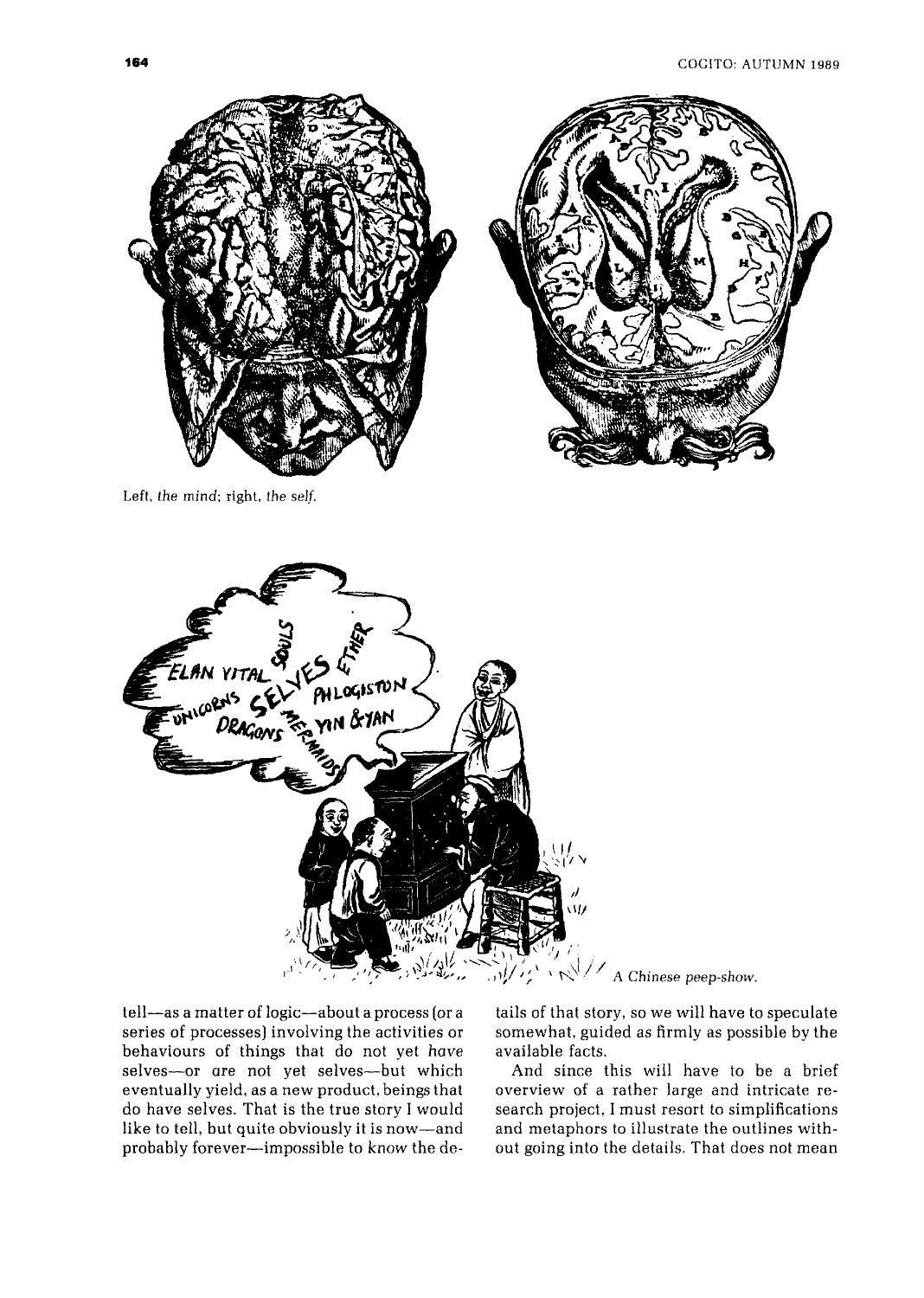

Left, the mind; right, *the* self.



tell-as a matter of logic-about a process (or a series of processes) involving the activities or behaviours of things that do not yet *have* selves-or are not yet selves-but which eventually yield, as a new product, beings that do have selves. That is the true story I would like to tell, but quite obviously it is now-and probably forever--impossible to know the details of that story, so we will have to speculate somewhat, guided as firmly as possible by the available facts.

And since this will have to be a brief overview of a rather large and intricate research project, I must resort to simplifications and metaphors to illustrate the outlines without going into the details. That does not mean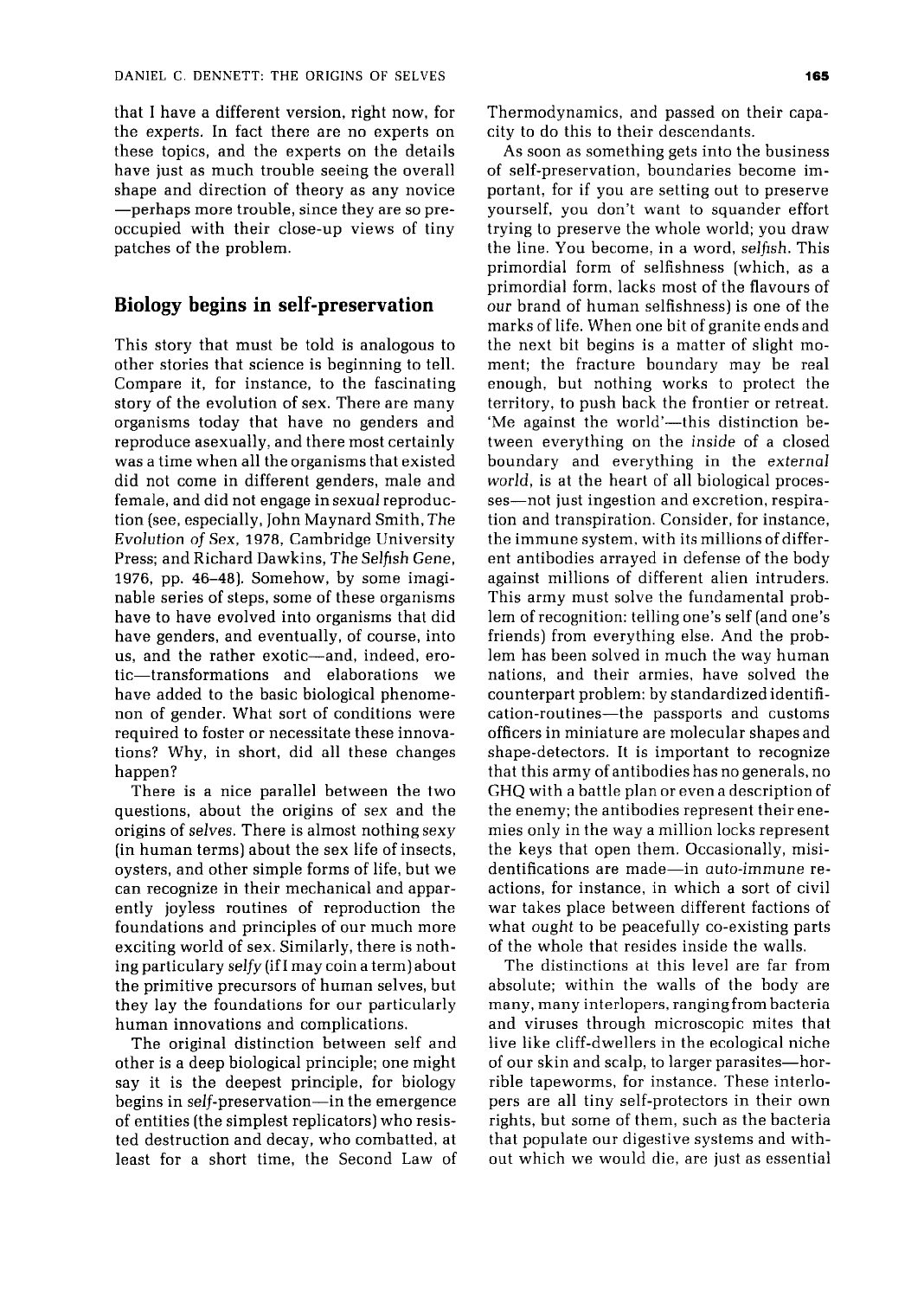that I have a different version, right now, for the experts. In fact there are no experts on these topics, and the experts on the details have just as much trouble seeing the overall shape and direction of theory as any novice -perhaps more trouble, since they are so preoccupied with their close-up views of tiny patches of the problem.

#### **Biology begins in self-preservation**

This story that must be told is analogous to other stories that science is beginning to tell. Compare it, for instance, to the fascinating story of the evolution of sex. There are many organisms today that have no genders and reproduce asexually, and there most certainly was a time when all the organisms that existed did not come in different genders, male and female, and did not engage in sexual reproduction (see, especially, John Maynard Smith, *The Evolution* of Sex, 1978, Cambridge University Press; and Richard Dawkins, The Selfish Gene, 1976, pp. 46-48). Somehow, by some imaginable series of steps, some of these organisms have to have evolved into organisms that did have genders, and eventually, of course, into us, and the rather exotic-and, indeed, erotic-transformations and elaborations we have added to the basic biological phenomenon of gender. What sort of conditions were required to foster or necessitate these innovations? Why, in short, did all these changes happen?

There is a nice parallel between the two questions, about the origins of sex and the origins of *selves.* There is almost nothing sexy (in human terms) about the sex life of insects, oysters, and other simple forms of life, but we can recognize in their mechanical and apparently joyless routines of reproduction the foundations and principles of our much more exciting world of sex. Similarly, there is nothing particulary *selfy* (if! may coin a term) about the primitive precursors of human selves, but they lay the foundations for our particularly human innovations and complications.

The original distinction between self and other is a deep biological principle; one might say it is the deepest principle, for biology begins in self-preservation-in the emergence of entities (the simplest replicators) who resisted destruction and decay, who combatted, at least for a short time, the Second Law of Thermodynamics, and passed on their capacity to do this to their descendants.

As soon as something gets into the business of self-preservation, boundaries become important, for if you are setting out to preserve yourself, you don't want to squander effort trying to preserve the whole world; you draw the line. You become, in a word, *selfish.* This primordial form of selfishness (which, as a primordial form, lacks most of the flavours of our brand of human selfishness) is one of the marks of life. When one bit of granite ends and the next bit begins is a matter of slight moment; the fracture boundary may be real enough, but nothing works to protect the territory, to push back the frontier or retreat. 'Me against the world'-this distinction between everything on the inside of a closed boundary and everything in the *external world,* is at the heart of all biological processes-not just ingestion and excretion, respiration and transpiration. Consider, for instance, the immune system, with its millions of different antibodies arrayed in defense of the body against millions of different alien intruders. This army must solve the fundamental problem of recognition: telling one's self (and one's friends) from everything else. And the problem has been solved in much the way human nations, and their armies, have solved the counterpart problem: by standardized identification-routines-the passports and customs officers in miniature are molecular shapes and shape-detectors. It is important to recognize that this army of antibodies has no generals, no GHQ with a battle plan or even a description of the enemy; the antibodies represent their enemies only in the way a million locks represent the keys that open them. Occasionally, misidentifications are made-in auto-immune reactions, for instance, in which a sort of civil war takes place between different factions of what ought to be peacefully co-existing parts of the whole that resides inside the walls.

The distinctions at this level are far from absolute; within the walls of the body are many, many interlopers, ranging from bacteria and viruses through microscopic mites that live like cliff-dwellers in the ecological niche of our skin and scalp, to larger parasites-horrible tapeworms, for instance. These interlopers are all tiny self-protectors in their own rights, but some of them, such as the bacteria that populate our digestive systems and without which we would die, are just as essential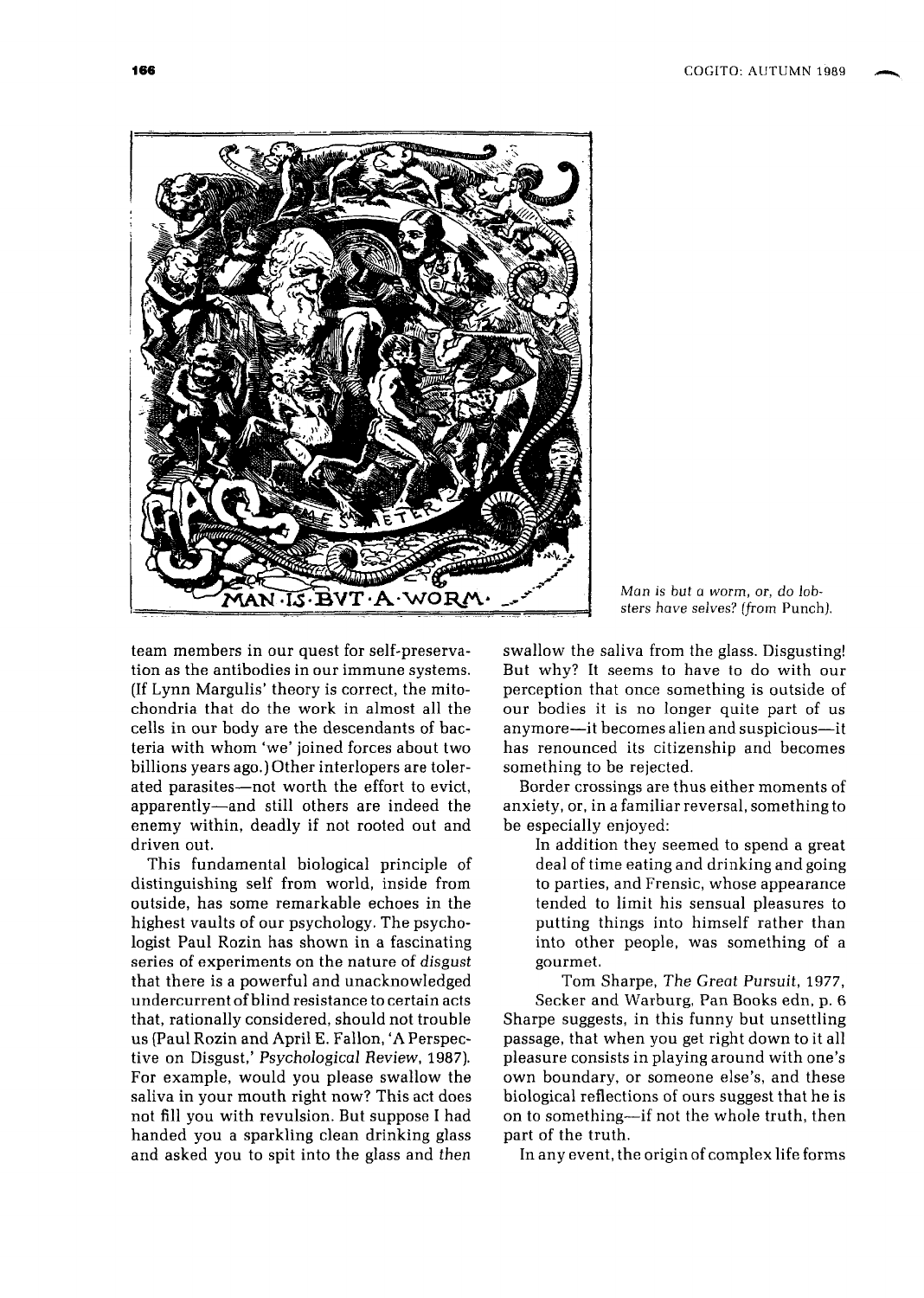

*Man* is but a worm, or, do *lob*sters *have selves? (from* Punch).

team members in our quest for self-preservation as the antibodies in our immune systems. (If Lynn Margulis' theory is correct, the mitochondria that do the work in almost all the cells in our body are the descendants of bacteria with whom 'we' joined forces about two billions years ago.) Other interlopers are tolerated parasites-not worth the effort to evict, apparently-and still others are indeed the enemy within, deadly if not rooted out and driven out.

This fundamental biological principle of distinguishing self from world, inside from outside, has some remarkable echoes in the highest vaults of our psychology. The psychologist Paul Rozin has shown in a fascinating series of experiments on the nature of *disgust* that there is a powerful and unacknowledged undercurrent of blind resistance to certain acts that, rationally considered, should not trouble us (Paul Rozin and April E. Fallon, 'A Perspective on Disgust,' *Psychological Review, 1987).* For example, would you please swallow the saliva in your mouth right now? This act does not fill you with revulsion. But suppose I had handed you a sparkling clean drinking glass and asked you to spit into the glass and *then*

swallow the saliva from the glass. Disgusting! But why? It seems to have to do with our perception that once something is outside of our bodies it is no longer quite part of us anymore—it becomes alien and suspicious—it has renounced its citizenship and becomes something to be rejected.

Border crossings are thus either moments of anxiety, or, in a familiar reversal, something to be especially enjoyed:

In addition they seemed to spend a great deal of time eating and drinking and going to parties, and Frensic, whose appearance tended to limit his sensual pleasures to putting things into himself rather than into other people, was something of a gourmet.

Tom Sharpe, The Great Pursuit, 1977,

Secker and Warburg, Pan Books edn, p. 6 Sharpe suggests, in this funny but unsettling passage, that when you get right down to it all pleasure consists in playing around with one's own boundary, or someone else's, and these biological reflections of ours suggest that he is on to something-if not the whole truth, then part of the truth.

In any event, the origin of complex life forms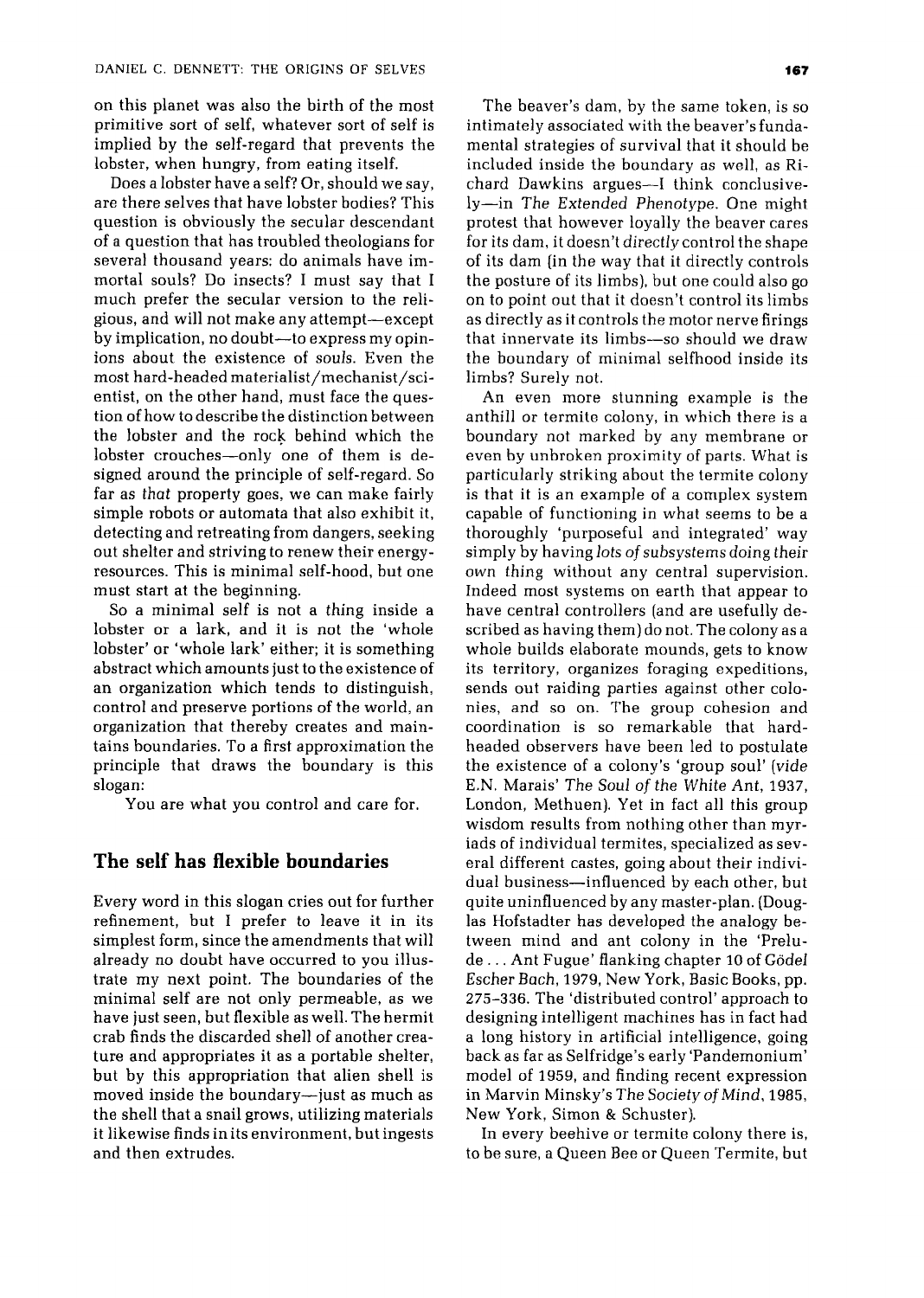on this planet was also the birth of the most primitive sort of self, whatever sort of self is implied by the self-regard that prevents the lobster, when hungry, from eating itself.

Does a lobster have a self? Or, should we say, are there selves that have lobster bodies? This question is obviously the secular descendant of a question that has troubled theologians for several thousand years: do animals have immortal souls? Do insects? I must say that I much prefer the secular version to the religious, and will not make any attempt-except by implication, no doubt-to express my opinions about the existence of souls. Even the most hard-headed materialist/mechanist/scientist, on the other hand, must face the question of how to describe the distinction between the lobster and the rock behind which the lobster crouches-only one of them is designed around the principle of self-regard. So far as *that* property goes, we can make fairly simple robots or automata that also exhibit it, detecting and retreating from dangers, seeking out shelter and striving to renew their energyresources. This is minimal self-hood, but one must start at the beginning.

So a minimal self is not a thing inside a lobster or a lark, and it is not the 'whole lobster' or 'whole lark' either; it is something abstract which amounts just to the existence of an organization which tends to distinguish, control and preserve portions of the world, an organization that thereby creates and maintains boundaries. To a first approximation the principle that draws the boundary is this slogan:

You are what you control and care for.

#### **The self has flexible boundaries**

Every word in this slogan cries out for further refinement, but I prefer to leave it in its simplest form, since the amendments that will already no doubt have occurred to you illustrate my next point. The boundaries of the minimal self are not only permeable, as we have just seen, but flexible as well. The hermit crab finds the discarded shell of another creature and appropriates it as a portable shelter, but by this appropriation that alien shell is moved inside the boundary—just as much as the shell that a snail grows, utilizing materials it likewise finds in its environment, but ingests and then extrudes.

The beaver's dam, by the same token, is so intimately associated with the beaver'sfundamental strategies of survival that it should be included inside the boundary as well, as Richard Dawkins argues-I think conclusively-in *The* Extended Phenotype. One might protest that however loyally the beaver cares for its dam, it doesn't directly control the shape of its dam (in the way that it directly controls the posture of its limbs), but one could also go on to point out that it doesn't control its limbs as directly as it controls the motor nerve firings that innervate its limbs-so should we draw the boundary of minimal selfhood inside its limbs? Surely not.

An even more stunning example is the anthill or termite colony, in which there is a boundary not marked by any membrane or even by unbroken proximity of parts. What is particularly striking about the termite colony is that it is an example of a complex system capable of functioning in what seems to be a thoroughly 'purposeful and integrated' way simply by ha ving *lots* of subsystems doing their own thing without any central supervision. Indeed most systems on earth that appear to have central controllers (and are usefully described as having them) do not. The colony as a whole builds elaborate mounds, gets to know its territory, organizes foraging expeditions, sends out raiding parties against other colonies, and so on. The group cohesion and coordination is so remarkable that hardheaded observers have been led to postulate the existence of a colony's 'group soul' (vide E.N. Marais' *The* Soul of the White Ant, 1937, London, Methuen). Yet in fact all this group wisdom results from nothing other than myriads of individual termites, specialized as several different castes, going about their individual business-influenced by each other, but quite uninfluenced by any master-pian. (Douglas Hofstadter has developed the analogy between mind and ant colony in the 'Prelude ... Ant Fugue' flanking chapter 10 of Gödel Escher *Bach,* 1979, New York, Basic Books, pp. 275-336. The 'distributed control' approach to designing intelligent machines has in fact had a long history in artificial intelligence, going back as far as Selfridge's early 'Pandemonium' model of 1959, and finding recent expression in Marvin Minsky's *The* Society of Mind, 1985, New York, Simon & Schuster).

In every beehive or termite colony there is, to be sure, a Queen Bee or Queen Termite, but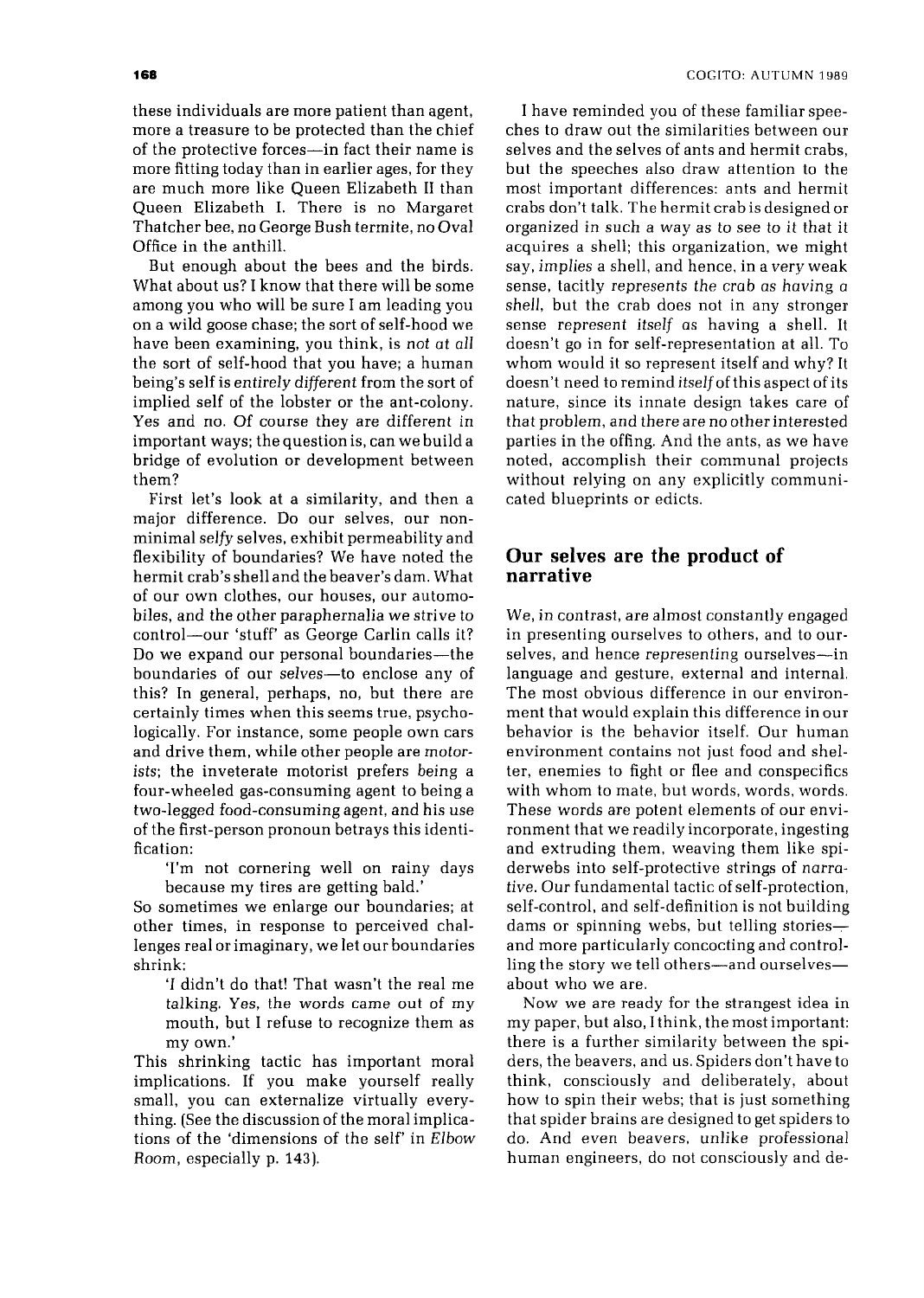these individuals are more patient than agent, more a treasure to be protected than the chief of the protective forces-in fact their name is more fitting today than in earlier ages, for they are much more like Queen Elizabeth <sup>11</sup> than Queen Elizabeth I. There is no Margaret Thatcher bee, no George Bush termite, no Oval Office in the anthill.

But enough about the bees and the birds. What about us? I know that there will be some among you who will be sure I am leading you on a wild goose chase; the sort of self-hood we have been examining, you think, is not at *all* the sort of self-hood that you have; a human being's self is *entirely different* from the sort of implied self of the lobster or the ant-colony. Yes and no. Of course they are different in important ways; the question is, can we build a bridge of evolution or development between them?

First let's look at a similarity, and then a major difference. Do our selves, our nonminimal *selfy* selves, exhibit permeability and flexibility of boundaries? We have noted the hermit crab's shell and the beaver's dam. What of our own clothes, our houses, our automobiles, and the other paraphernalia we strive to control-our 'stuff' as George Carlin calls it? Do we expand our personal boundaries-the boundaries of our *selves-to* enclose any of this? In general, perhaps, no, but there are certainly times when this seems true, psychologically. For instance, some people own cars and drive them, while other people are motorists; the inveterate motorist prefers being a four-wheeled gas-consuming agent to being a two-legged food-consuming agent, and his use of the first-person pronoun betrays this identification:

'I'm not cornering well on rainy days because my tires are getting bald.'

So sometimes we enlarge our boundaries; at other times, in response to perceived challenges real or imaginary, we let our boundaries shrink:

'J didn't do that! That wasn't the real me talking. Yes, the words came out of my mouth, but I refuse to recognize them as my own,'

This shrinking tactic has important moral implications. If you make yourself really small, you can externalize virtually everything. (See the discussion of the moral implications of the 'dimensions of the self' in *Elbow* Room, especially p. 143).

I have reminded you of these familiar speeches to draw out the similarities between our selves and the selves of ants and hermit crabs, but the speeches also draw attention to the most important differences: ants and hermit crabs don't talk. The hermit crab is designed or organized in such a way as to see to it that it acquires a shell; this organization, we might say, implies a shell, and hence, in a very weak sense, tacitly represents the crab as having a shell, but the crab does not in any stronger sense represent itself as having a shell. It doesn't go in for self-representation at all. To whom would it so represent itself and why? It doesn't need to remind *itself* of this aspect of its nature, since its innate design takes care of that problem, and there are no other interested parties in the offing. And the ants, as we have noted, accomplish their communal projects without relying on any explicitly communicated blueprints or edicts.

#### **Our selves are the product of narrative**

We, in contrast, are almost constantly engaged in presenting ourselves to others, and to ourselves, and hence representing ourselves-in language and gesture, external and internal. The most obvious difference in our environment that would explain this difference in our behavior is the behavior itself. Our human environment contains not just food and shelter, enemies to fight or flee and conspecifics with whom to mate, but words, words, words. These words are potent elements of our environment that we readily incorporate, ingesting and extruding them, weaving them like spiderwebs into self-protective strings of narrative. Our fundamental tactic of self-protection, self-control, and self-definition is not building dams or spinning webs, but telling storiesand more particularly concocting and controlling the story we tell others—and ourselves about who we are.

Now we are ready for the strangest idea in my paper, but also, Ithink, the most important: there is a further similarity between the spiders, the beavers, and us. Spiders don't have to think, consciously and deliberately, about how to spin their webs; that is just something that spider brains are designed to get spiders to do. And even beavers, unlike professional human engineers, do not consciously and de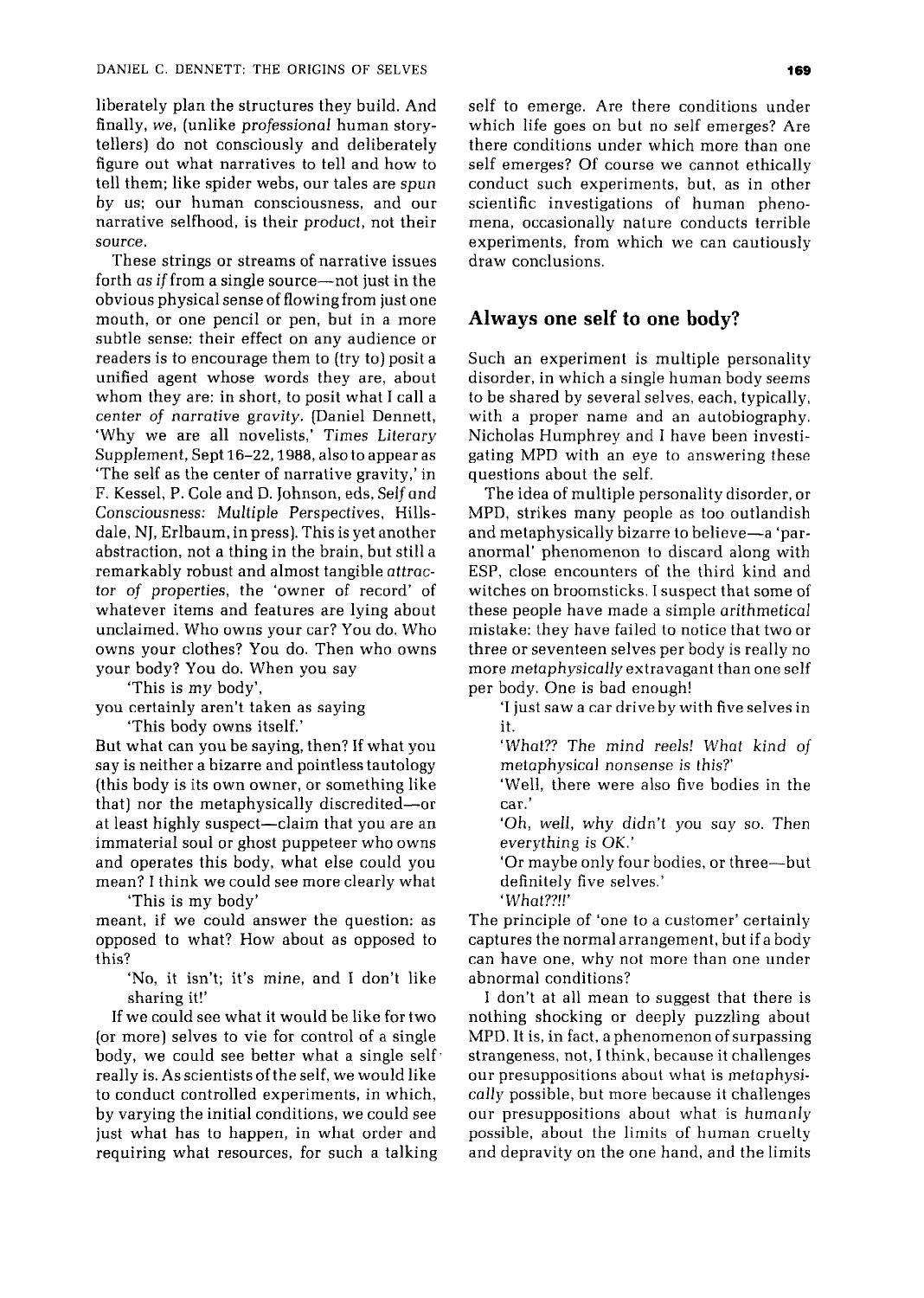liberately plan the structures they build. And finally, *we,* (unlike *professional* human storytellers) do not consciously and deliberately figure out what narratives to tell and how to tell them; like spider webs, our tales are spun by us; our human consciousness, and our narrative selfhood, is their product, not their source.

These strings or streams of narrative issues forth as *if* from a single source—not just in the obvious physical sense of flowing from just one mouth, or one pencil or pen, but in a more subtle sense: their effect on any audience or readers is to encourage them to (try to) posit a unified agent whose words they are, about whom they are: in short, to posit what I call a center *of* narrative *gravity.* (Daniel Dennett, 'Why we are all novelists,' Times Literary *Supplement,* Sept 16-22,1988, alsoto appear as 'The self as the center of narrative gravity,' in F. Kessel, P. Cole and D. Johnson, eds, *Self* and Consciousness: *Multiple* Perspectives, Hillsdale, NJ, Erlbaum, in press). This is yet another abstraction, not a thing in the brain, but still a remarkably robust and almost tangible attractor *of properties,* the 'owner of record' of whatever items and features are lying about unclaimed. Who owns your car? You do. Who owns your clothes? You do. Then who owns your body? You do. When you say

'This is my body',

you certainly aren't taken as saying 'This body owns itself.'

But what can you be saying, then? If what you say is neither a bizarre and pointless tautology (this body is its own owner, or something like that) nor the metaphysically discredited-or at least highly suspect-claim that you are an immaterial soul or ghost puppeteer who owns and operates this body, what else could you mean? 1 think we could see more clearly what

'This is my body'

meant, if we could answer the question: as opposed to what? How about as opposed to this?

'No, it isn't; it's mine, and 1 don't like sharing it!'

If we could see what it would be like for two (or more) selves to vie for control of a single body, we could see better what a single self  $\cdot$ really is. As scientists of the self, we would like to conduct controlled experiments, in which, by varying the initial conditions, we could see just what has to happen, in what order and requiring what resources, for such a talking

self to emerge. Are there conditions under which life goes on but no self emerges? Are there conditions under which more than one self emerges? Of course we cannot ethically conduct such experiments, but, as in other scientific investigations of human phenomena, occasionally nature conducts terrible experiments, from which we can cautiously draw conclusions.

#### **Always one self to one body?**

Such an experiment is multiple personality disorder, in which a *single* human body seems to be shared by several selves, each, typically, with a proper name and an autobiography. Nicholas Humphrey and 1 have been investigating MPD with an eye to answering these questions about the self.

The idea of multiple personality disorder, or MPD, strikes many people as too outlandish and metaphysically bizarre to believe-a 'paranormal' phenomenon to discard along with ESP, close encounters of the third kind and witches on broomsticks. 1suspect that some of these people have made a simple *arithmetical* mistake: they have failed to notice that two or three or seventeen selves per body is really no more *metaphysically* extravagant than one self per body. One is bad enough!

'I just saw a car drive by with five selves in it.

'What?? *The* mind *reels! What kind of metaphysical* nonsense is *this?'*

'Well, there were also five bodies in the car.'

'Oh, *well, why didn't* you say so. Then everything is OK.'

'Or maybe only four bodies, or three-but definitely five selves.'

*'What??!!'*

The principle of 'one to a customer' certainly captures the normal arrangement, but if a body can have one, why not more than one under abnormal conditions?

1 don't at all mean to suggest that there is nothing shocking or deeply puzzling about MPD. It is, in fact, a phenomenon of surpassing strangeness, not, 1think, because it challenges our presuppositions about what is metaphysi*cally* possible, but more because it challenges our presuppositions about what is *humanly* possible, about the limits of human cruelty and depravity on the one hand, and the limits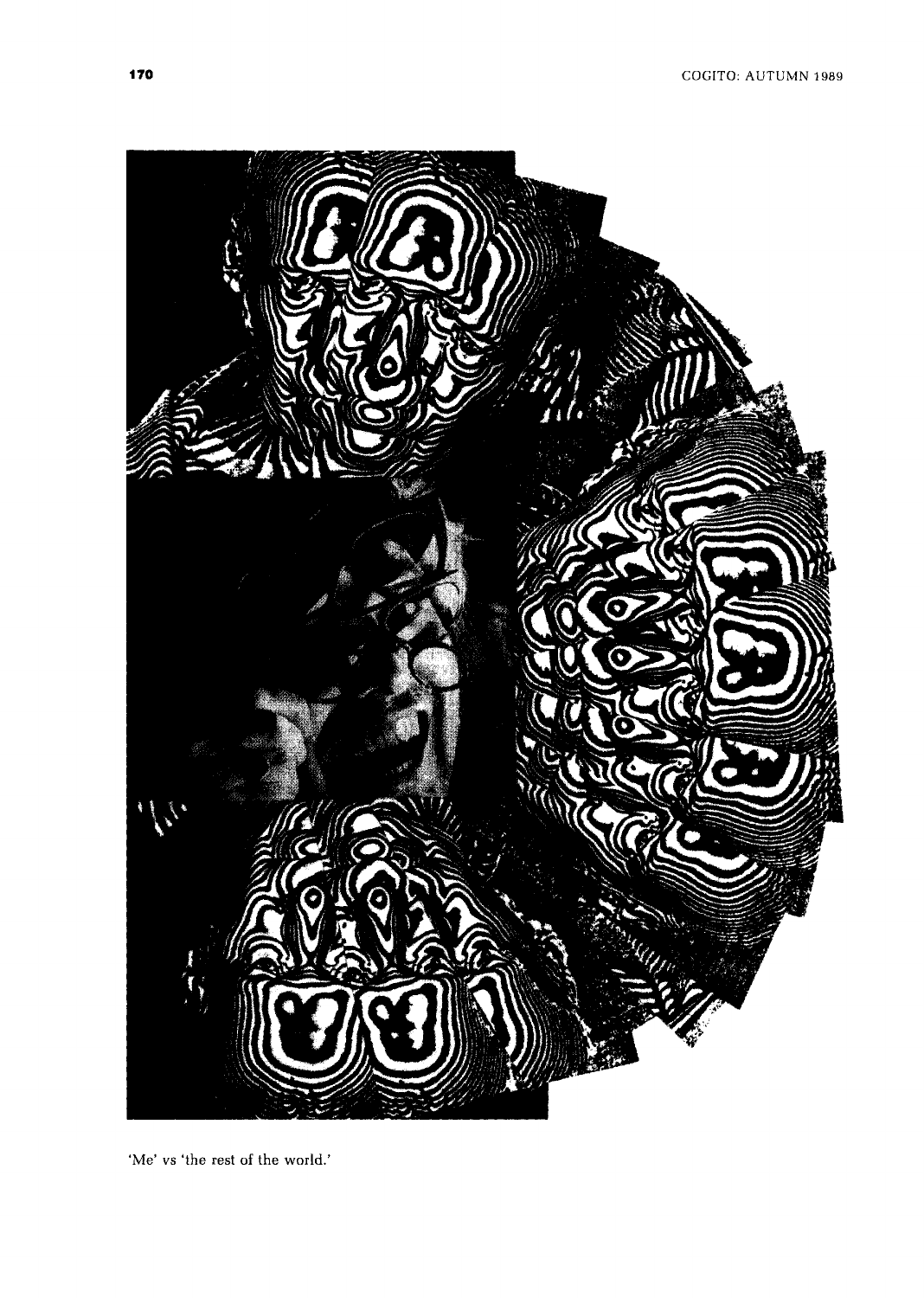

'Me' vs 'the rest of the world.'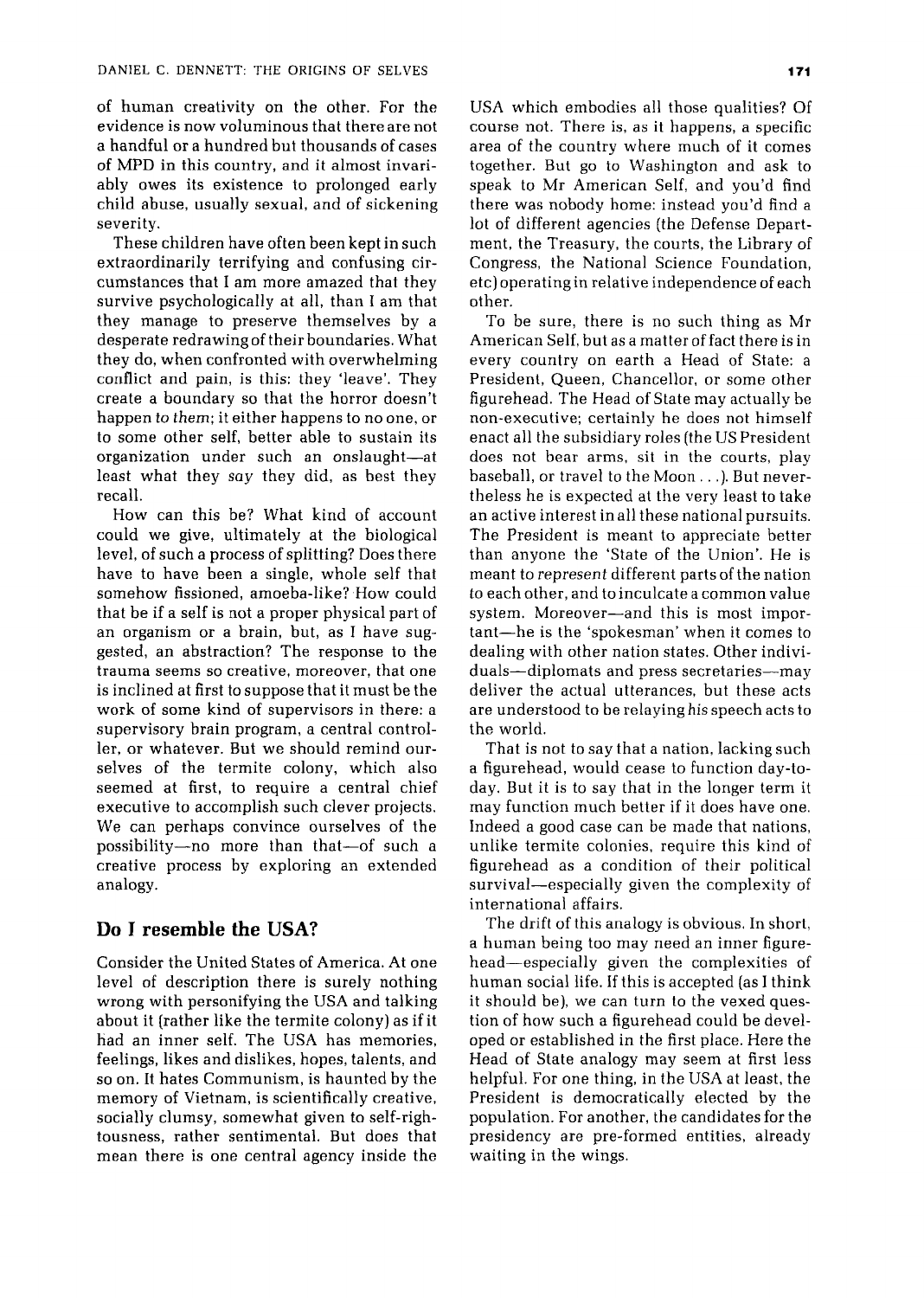of human creativity on the other. For the evidence is now voluminous that there are not a handful or a hundred but thousands of cases of MPD in this country, and it almost invariably owes its existence to prolonged early child abuse, usually sexual, and of sickening severity.

These children have often been kept in such extraordinarily terrifying and confusing circumstances that I am more amazed that they survive psychologically at all, than I am that they manage to preserve themselves by a desperate redrawing of their boundaries. What they do, when confronted with overwhelming conflict and pain, is this: they 'leave'. They create a boundary so that the horror doesn't happen to them; it either happens to no one, or to some other self, better able to sustain its organization under such an onslaught-at least what they *say* they did, as best they recall.

How can this be? What kind of account could we give, ultimately at the biological level, of such a process of splitting? Does there have to have been a single, whole self that somehow fissioned, amoeba-like? How could that be if a self is not a proper physical part of an organism or a brain, but, as I have suggested, an abstraction? The response to the trauma seems so creative, moreover, that one is inclined at first to suppose that it must be the work of some kind of supervisors in there: a supervisory brain program, a central controller, or whatever. But we should remind ourselves of the termite colony, which also seemed at first, to require a central chief executive to accomplish such clever projects. We can perhaps convince ourselves of the possibility-no more than that-of such a creative process by exploring an extended analogy.

### **Do I resemble the USA?**

Consider the United States of America. At one level of description there is surely nothing wrong with personifying the USA and talking about it (rather like the termite colony) as if it had an inner self. The USA has memories, feelings, likes and dislikes, hopes, talents, and so on. It hates Communism, is haunted by the memory of Vietnam, is scientifically creative, socially clumsy, somewhat given to self-rightousness, rather sentimental. But does that mean there is one central agency inside the USA which embodies all those qualities? Of course not. There is, as it happens, a specific area of the country where much of it comes together. But go to Washington and ask to speak to Mr American Self, and you'd find there was nobody home: instead you'd find a lot of different agencies (the Defense Department, the Treasury, the courts, the Library of Congress, the National Science Foundation, etc) operating in relative independence of each other.

To be sure, there is no such thing as Mr American Self, but as a matter of fact there is in every country on earth a Head of State: a President, Queen, Chancellor, or some other figurehead. The Head of State may actually be non-executive; certainly he does not himself enact all the subsidiary roles (the US President does not bear arms, sit in the courts, play baseball, or travel to the Moon ...). But nevertheless he is expected at the very least to take an active interest in all these national pursuits. The President is meant to appreciate better than anyone the 'State of the Union'. He is meant to represent different parts of the nation to each other, and to inculcate a common value system. Moreover-and this is most important-he is the 'spokesman' when it comes to dealing with other nation states. Other individuals-diplomats and press secretaries--may deliver the actual utterances. but these acts are understood to be relaying his speech acts to the world.

That is not to say that a nation, lacking such a figurehead, would cease to function day-today. But it is to say that in the longer term it may function much better if it does have one. Indeed a good case can be made that nations, unlike termite colonies, require this kind of figurehead as a condition of their political survival-especially given the complexity of international affairs.

The drift of this analogy is obvious. In short, a human being too may need an inner figurehead-especially given the complexities of human social life. If this is accepted (as I think it should be), we can turn to the vexed question of how such a figurehead could be developed or established in the first place. Here the Head of State analogy may seem at first less helpful. For one thing. in the USA at least, the President is democratically elected by the population. For another. the candidates for the presidency are pre-formed entities. already waiting in the wings.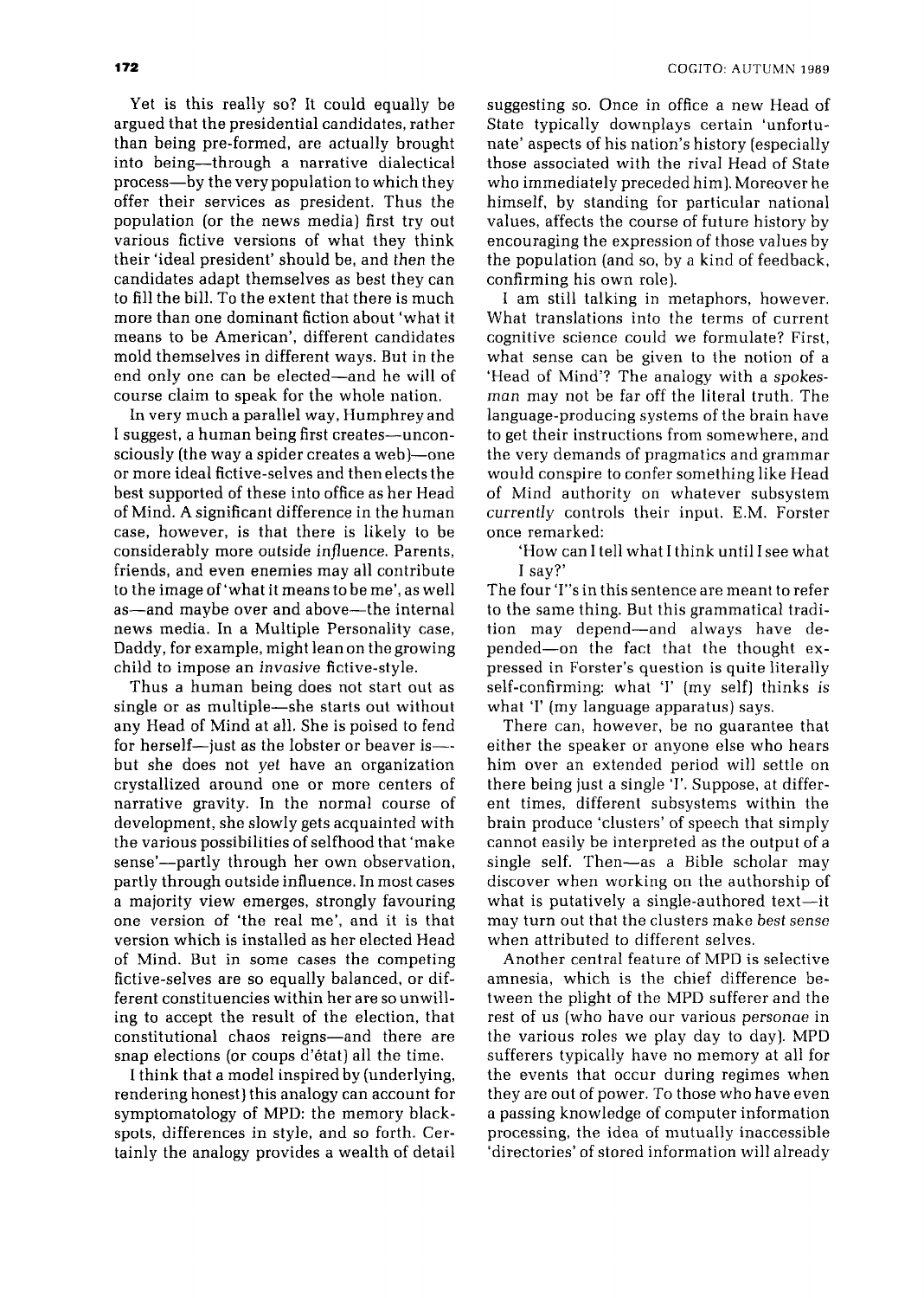Yet is this really so? It could equally be argued that the presidential candidates, rather than being pre-formed, are actually brought into being--through a narrative dialectical process-by the very population to which they offer their services as president. Thus the population (or the news media) first tryout various fictive versions of what they think their 'ideal president' should be, and then the candidates adapt themselves as best they can to fill the bill. To the extent that there is much more than one dominant fiction about 'what it means to be American', different candidates mold themselves in different ways. But in the end only one can be elected-and he will of course claim to speak for the whole nation.

In very much a parallel way, Humphrey and I suggest, a human being first creates-unconsciously (the way a spider creates a web)-one or more ideal fictive-selves and then elects the best supported of these into office as her Head of Mind. A significant difference in the human case, however, is that there is likely to be considerably more outside influence. Parents, friends, and even enemies may all contribute to the image of 'what it means to be me', as well as-and maybe over and above-the internal news media. In a Multiple Personality case, Daddy, for example, might lean on the growing child to impose an invasive fictive-style.

Thus a human being does not start out as single or as multiple-she starts out without any Head of Mind at all. She is poised to fend for herself-just as the lobster or beaver is--but she does not yet have an organization crystallized around one or more centers of narrative gravity. In the normal course of development, she slowly gets acquainted with the various possibilities of selfhood that 'make sense'-partly through her own observation, partly through outside influence. In most cases a majority view emerges, strongly favouring one version of 'the real me', and it is that version which is installed as her elected Head of Mind. But in some cases the competing fictive-selves are so equally balanced, or different constituencies within her are so unwilling to accept the result of the election, that constitutional chaos reigns-and there are snap elections (or coups d'etat) all the time.

I think that a model inspired by (underlying, rendering honest) this analogy can account for symptomatology of MPD: the memory blackspots, differences in style, and so forth. Certainly the analogy provides a wealth of detail suggesting so. Once in office a new Head of State typically downplays certain 'unfortunate' aspects of his nation's history (especially those associated with the rival Head of State who immediately preceded him). Moreover he himself, by standing for particular national values, affects the course of future history by encouraging the expression of those values by the population (and so, by a kind of feedback, confirming his own role).

I am still talking in metaphors, however. What translations into the terms of current cognitive science could we formulate? First, what sense can be given to the notion of a 'Head of Mind'? The analogy with a spokesman may not be far off the literal truth. The language-producing systems of the brain have to get their instructions from somewhere, and the very demands of pragmatics and grammar would conspire to confer something like Head of Mind authority on whatever subsystem currently controls their input. E.M. Forster once remarked:

'How can I tell what Ithink until I see what I say?'

The four 'T''sin this sentence are meant to refer to the same thing. But this grammatical tradition may depend-and always have depended-on the fact that the thought expressed in Forster's question is quite literally self-confirming: what 'I' (my self) thinks is what 'I' (my language apparatus) says.

There can, *however,* be no guarantee that either the speaker or anyone else who hears him over an extended period will settle on there being just a single 'I'. Suppose, at different times, different subsystems within the brain produce 'clusters' of speech that simply cannot easily be interpreted as the output of a single self. Then—as a Bible scholar may discover when working on the authorship of what is putatively a single-authored text-it may turn out that the clusters make *best* sense when attributed to different selves.

Another central feature of MPD is selective amnesia, which is the chief difference between the plight of the MPD sufferer and the rest of us (who have our various personae in the various roles we play day to day). MPD sufferers typically have no memory at all for the events that occur during regimes when they are out of power. To those who have even a passing knowledge of computer information processing, the idea of mutually inaccessible 'directories' of stored information will already